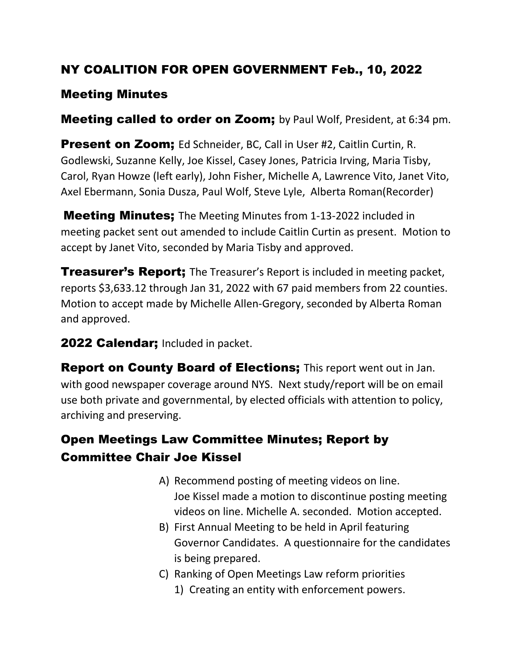## NY COALITION FOR OPEN GOVERNMENT Feb., 10, 2022

#### Meeting Minutes

**Meeting called to order on Zoom;** by Paul Wolf, President, at 6:34 pm.

Present on Zoom; Ed Schneider, BC, Call in User #2, Caitlin Curtin, R. Godlewski, Suzanne Kelly, Joe Kissel, Casey Jones, Patricia Irving, Maria Tisby, Carol, Ryan Howze (left early), John Fisher, Michelle A, Lawrence Vito, Janet Vito, Axel Ebermann, Sonia Dusza, Paul Wolf, Steve Lyle, Alberta Roman(Recorder)

**Meeting Minutes;** The Meeting Minutes from 1-13-2022 included in meeting packet sent out amended to include Caitlin Curtin as present. Motion to accept by Janet Vito, seconded by Maria Tisby and approved.

**Treasurer's Report;** The Treasurer's Report is included in meeting packet, reports \$3,633.12 through Jan 31, 2022 with 67 paid members from 22 counties. Motion to accept made by Michelle Allen-Gregory, seconded by Alberta Roman and approved.

#### 2022 Calendar; Included in packet.

**Report on County Board of Elections;** This report went out in Jan. with good newspaper coverage around NYS. Next study/report will be on email use both private and governmental, by elected officials with attention to policy, archiving and preserving.

# Open Meetings Law Committee Minutes; Report by Committee Chair Joe Kissel

- A) Recommend posting of meeting videos on line. Joe Kissel made a motion to discontinue posting meeting videos on line. Michelle A. seconded. Motion accepted.
- B) First Annual Meeting to be held in April featuring Governor Candidates. A questionnaire for the candidates is being prepared.
- C) Ranking of Open Meetings Law reform priorities
	- 1) Creating an entity with enforcement powers.